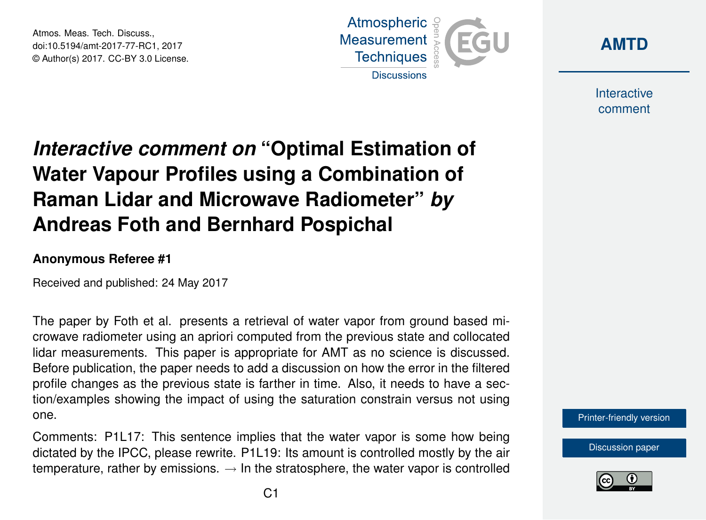Atmos. Meas. Tech. Discuss., doi:10.5194/amt-2017-77-RC1, 2017 © Author(s) 2017. CC-BY 3.0 License.





Interactive comment

## *Interactive comment on* **"Optimal Estimation of Water Vapour Profiles using a Combination of Raman Lidar and Microwave Radiometer"** *by* **Andreas Foth and Bernhard Pospichal**

## **Anonymous Referee #1**

Received and published: 24 May 2017

The paper by Foth et al. presents a retrieval of water vapor from ground based microwave radiometer using an apriori computed from the previous state and collocated lidar measurements. This paper is appropriate for AMT as no science is discussed. Before publication, the paper needs to add a discussion on how the error in the filtered profile changes as the previous state is farther in time. Also, it needs to have a section/examples showing the impact of using the saturation constrain versus not using one.

Comments: P1L17: This sentence implies that the water vapor is some how being dictated by the IPCC, please rewrite. P1L19: Its amount is controlled mostly by the air temperature, rather by emissions.  $\rightarrow$  In the stratosphere, the water vapor is controlled



[Discussion paper](http://www.atmos-meas-tech-discuss.net/amt-2017-77)

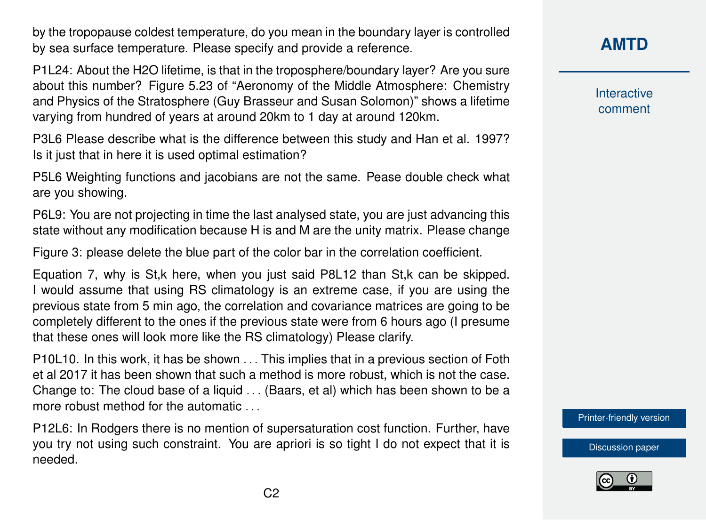by the tropopause coldest temperature, do you mean in the boundary layer is controlled by sea surface temperature. Please specify and provide a reference.

P1L24: About the H2O lifetime, is that in the troposphere/boundary layer? Are you sure about this number? Figure 5.23 of "Aeronomy of the Middle Atmosphere: Chemistry and Physics of the Stratosphere (Guy Brasseur and Susan Solomon)" shows a lifetime varying from hundred of years at around 20km to 1 day at around 120km.

P3L6 Please describe what is the difference between this study and Han et al. 1997? Is it just that in here it is used optimal estimation?

P5L6 Weighting functions and jacobians are not the same. Pease double check what are you showing.

P6L9: You are not projecting in time the last analysed state, you are just advancing this state without any modification because H is and M are the unity matrix. Please change

Figure 3: please delete the blue part of the color bar in the correlation coefficient.

Equation 7, why is St,k here, when you just said P8L12 than St,k can be skipped. I would assume that using RS climatology is an extreme case, if you are using the previous state from 5 min ago, the correlation and covariance matrices are going to be completely different to the ones if the previous state were from 6 hours ago (I presume that these ones will look more like the RS climatology) Please clarify.

P10L10. In this work, it has be shown . . . This implies that in a previous section of Foth et al 2017 it has been shown that such a method is more robust, which is not the case. Change to: The cloud base of a liquid . . . (Baars, et al) which has been shown to be a more robust method for the automatic . . .

P12L6: In Rodgers there is no mention of supersaturation cost function. Further, have you try not using such constraint. You are apriori is so tight I do not expect that it is needed.



Interactive comment

[Printer-friendly version](http://www.atmos-meas-tech-discuss.net/amt-2017-77/amt-2017-77-RC1-print.pdf)

[Discussion paper](http://www.atmos-meas-tech-discuss.net/amt-2017-77)